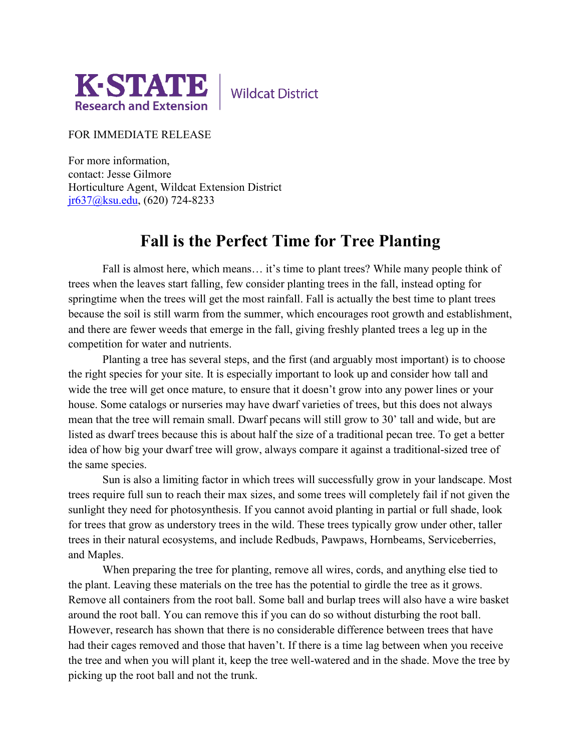

**Wildcat District** 

FOR IMMEDIATE RELEASE

For more information, contact: Jesse Gilmore Horticulture Agent, Wildcat Extension District [jr637@ksu.edu,](mailto:jr637@ksu.edu) (620) 724-8233

## **Fall is the Perfect Time for Tree Planting**

Fall is almost here, which means… it's time to plant trees? While many people think of trees when the leaves start falling, few consider planting trees in the fall, instead opting for springtime when the trees will get the most rainfall. Fall is actually the best time to plant trees because the soil is still warm from the summer, which encourages root growth and establishment, and there are fewer weeds that emerge in the fall, giving freshly planted trees a leg up in the competition for water and nutrients.

Planting a tree has several steps, and the first (and arguably most important) is to choose the right species for your site. It is especially important to look up and consider how tall and wide the tree will get once mature, to ensure that it doesn't grow into any power lines or your house. Some catalogs or nurseries may have dwarf varieties of trees, but this does not always mean that the tree will remain small. Dwarf pecans will still grow to 30' tall and wide, but are listed as dwarf trees because this is about half the size of a traditional pecan tree. To get a better idea of how big your dwarf tree will grow, always compare it against a traditional-sized tree of the same species.

Sun is also a limiting factor in which trees will successfully grow in your landscape. Most trees require full sun to reach their max sizes, and some trees will completely fail if not given the sunlight they need for photosynthesis. If you cannot avoid planting in partial or full shade, look for trees that grow as understory trees in the wild. These trees typically grow under other, taller trees in their natural ecosystems, and include Redbuds, Pawpaws, Hornbeams, Serviceberries, and Maples.

When preparing the tree for planting, remove all wires, cords, and anything else tied to the plant. Leaving these materials on the tree has the potential to girdle the tree as it grows. Remove all containers from the root ball. Some ball and burlap trees will also have a wire basket around the root ball. You can remove this if you can do so without disturbing the root ball. However, research has shown that there is no considerable difference between trees that have had their cages removed and those that haven't. If there is a time lag between when you receive the tree and when you will plant it, keep the tree well-watered and in the shade. Move the tree by picking up the root ball and not the trunk.